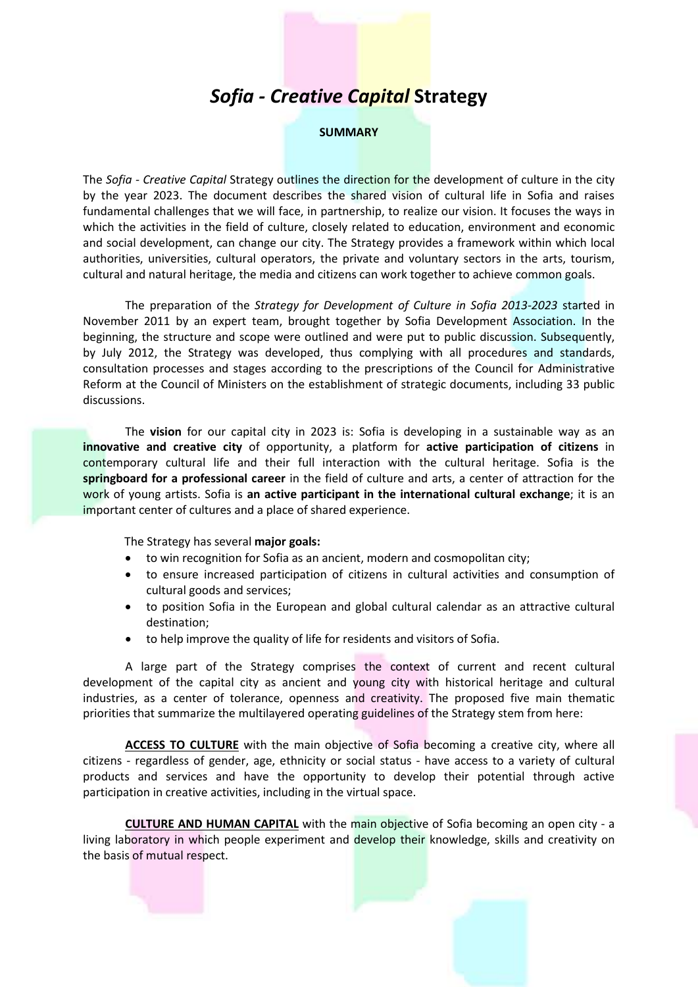## *Sofia - Creative Capital* **Strategy**

## **SUMMARY**

The *Sofia - Creative Capital* Strategy outlines the direction for the development of culture in the city by the year 2023. The document describes the shared vision of cultural life in Sofia and raises fundamental challenges that we will face, in partnership, to realize our vision. It focuses the ways in which the activities in the field of culture, closely related to education, environment and economic and social development, can change our city. The Strategy provides a framework within which local authorities, universities, cultural operators, the private and voluntary sectors in the arts, tourism, cultural and natural heritage, the media and citizens can work together to achieve common goals.

The preparation of the *Strategy for Development of Culture in Sofia 2013-2023* started in November 2011 by an expert team, brought together by Sofia Development Association. In the beginning, the structure and scope were outlined and were put to public discussion. Subsequently, by July 2012, the Strategy was developed, thus complying with all procedures and standards, consultation processes and stages according to the prescriptions of the Council for Administrative Reform at the Council of Ministers on the establishment of strategic documents, including 33 public discussions.

The **vision** for our capital city in 2023 is: Sofia is developing in a sustainable way as an **innovative and creative city** of opportunity, a platform for **active participation of citizens** in contemporary cultural life and their full interaction with the cultural heritage. Sofia is the **springboard for a professional career** in the field of culture and arts, a center of attraction for the work of young artists. Sofia is **an active participant in the international cultural exchange**; it is an important center of cultures and a place of shared experience.

The Strategy has several **major goals:**

- to win recognition for Sofia as an ancient, modern and cosmopolitan city;
- to ensure increased participation of citizens in cultural activities and consumption of cultural goods and services;
- to position Sofia in the European and global cultural calendar as an attractive cultural destination;
- to help improve the quality of life for residents and visitors of Sofia.

A large part of the Strategy comprises the context of current and recent cultural development of the capital city as ancient and young city with historical heritage and cultural industries, as a center of tolerance, openness and creativity. The proposed five main thematic priorities that summarize the multilayered operating guidelines of the Strategy stem from here:

**ACCESS TO CULTURE** with the main objective of Sofia becoming a creative city, where all citizens - regardless of gender, age, ethnicity or social status - have access to a variety of cultural products and services and have the opportunity to develop their potential through active participation in creative activities, including in the virtual space.

**CULTURE AND HUMAN CAPITAL** with the main objective of Sofia becoming an open city - a living laboratory in which people experiment and develop their knowledge, skills and creativity on the basis of mutual respect.